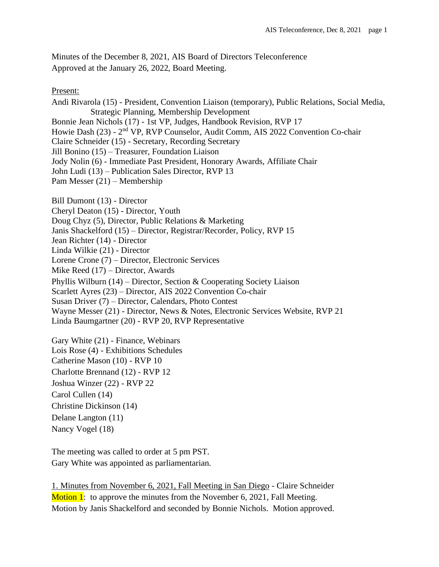Minutes of the December 8, 2021, AIS Board of Directors Teleconference Approved at the January 26, 2022, Board Meeting.

Present:

Andi Rivarola (15) - President, Convention Liaison (temporary), Public Relations, Social Media, Strategic Planning, Membership Development Bonnie Jean Nichols (17) - 1st VP, Judges, Handbook Revision, RVP 17 Howie Dash (23) - 2<sup>nd</sup> VP, RVP Counselor, Audit Comm, AIS 2022 Convention Co-chair

Claire Schneider (15) - Secretary, Recording Secretary

Jill Bonino (15) – Treasurer, Foundation Liaison

Jody Nolin (6) - Immediate Past President, Honorary Awards, Affiliate Chair

John Ludi (13) – Publication Sales Director, RVP 13

Pam Messer (21) – Membership

Bill Dumont (13) - Director

Cheryl Deaton (15) - Director, Youth

Doug Chyz (5), Director, Public Relations & Marketing

Janis Shackelford (15) – Director, Registrar/Recorder, Policy, RVP 15

Jean Richter (14) - Director

Linda Wilkie (21) - Director

Lorene Crone (7) – Director, Electronic Services

Mike Reed (17) – Director, Awards

Phyllis Wilburn (14) – Director, Section & Cooperating Society Liaison

Scarlett Ayres (23) – Director, AIS 2022 Convention Co-chair

Susan Driver (7) – Director, Calendars, Photo Contest

Wayne Messer (21) - Director, News & Notes, Electronic Services Website, RVP 21

Linda Baumgartner (20) - RVP 20, RVP Representative

Gary White (21) - Finance, Webinars Lois Rose (4) - Exhibitions Schedules Catherine Mason (10) - RVP 10 Charlotte Brennand (12) - RVP 12 Joshua Winzer (22) - RVP 22 Carol Cullen (14) Christine Dickinson (14) Delane Langton (11) Nancy Vogel (18)

The meeting was called to order at 5 pm PST. Gary White was appointed as parliamentarian.

1. Minutes from November 6, 2021, Fall Meeting in San Diego - Claire Schneider Motion 1: to approve the minutes from the November 6, 2021, Fall Meeting. Motion by Janis Shackelford and seconded by Bonnie Nichols. Motion approved.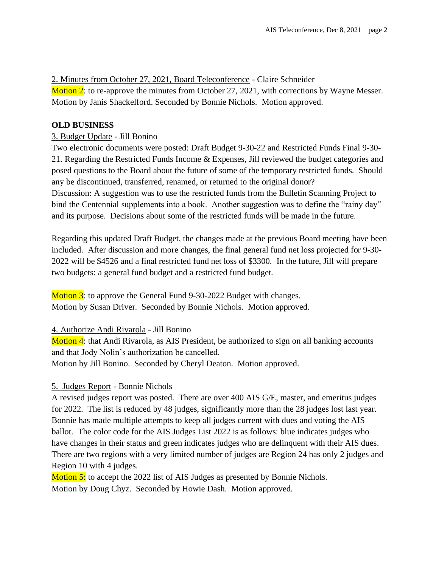## 2. Minutes from October 27, 2021, Board Teleconference - Claire Schneider

Motion 2: to re-approve the minutes from October 27, 2021, with corrections by Wayne Messer. Motion by Janis Shackelford. Seconded by Bonnie Nichols. Motion approved.

## **OLD BUSINESS**

## 3. Budget Update - Jill Bonino

Two electronic documents were posted: Draft Budget 9-30-22 and Restricted Funds Final 9-30- 21. Regarding the Restricted Funds Income & Expenses, Jill reviewed the budget categories and posed questions to the Board about the future of some of the temporary restricted funds. Should any be discontinued, transferred, renamed, or returned to the original donor? Discussion: A suggestion was to use the restricted funds from the Bulletin Scanning Project to bind the Centennial supplements into a book. Another suggestion was to define the "rainy day" and its purpose. Decisions about some of the restricted funds will be made in the future.

Regarding this updated Draft Budget, the changes made at the previous Board meeting have been included. After discussion and more changes, the final general fund net loss projected for 9-30- 2022 will be \$4526 and a final restricted fund net loss of \$3300. In the future, Jill will prepare two budgets: a general fund budget and a restricted fund budget.

Motion 3: to approve the General Fund 9-30-2022 Budget with changes. Motion by Susan Driver. Seconded by Bonnie Nichols. Motion approved.

## 4. Authorize Andi Rivarola - Jill Bonino

Motion 4: that Andi Rivarola, as AIS President, be authorized to sign on all banking accounts and that Jody Nolin's authorization be cancelled. Motion by Jill Bonino. Seconded by Cheryl Deaton. Motion approved.

# 5. Judges Report - Bonnie Nichols

A revised judges report was posted. There are over 400 AIS G/E, master, and emeritus judges for 2022. The list is reduced by 48 judges, significantly more than the 28 judges lost last year. Bonnie has made multiple attempts to keep all judges current with dues and voting the AIS ballot. The color code for the AIS Judges List 2022 is as follows: blue indicates judges who have changes in their status and green indicates judges who are delinquent with their AIS dues. There are two regions with a very limited number of judges are Region 24 has only 2 judges and Region 10 with 4 judges.

Motion 5: to accept the 2022 list of AIS Judges as presented by Bonnie Nichols. Motion by Doug Chyz. Seconded by Howie Dash. Motion approved.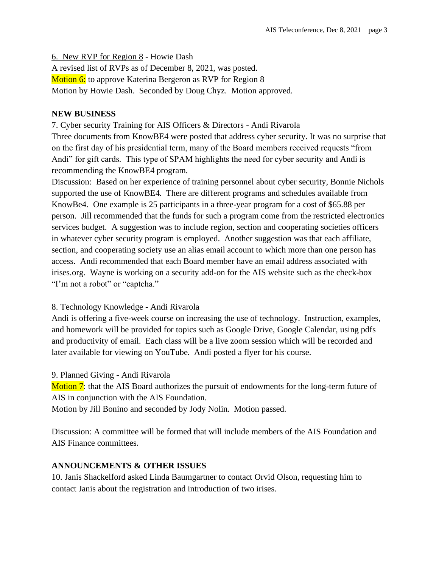6. New RVP for Region 8 - Howie Dash

A revised list of RVPs as of December 8, 2021, was posted. Motion 6: to approve Katerina Bergeron as RVP for Region 8 Motion by Howie Dash. Seconded by Doug Chyz. Motion approved.

#### **NEW BUSINESS**

#### 7. Cyber security Training for AIS Officers & Directors - Andi Rivarola

Three documents from KnowBE4 were posted that address cyber security. It was no surprise that on the first day of his presidential term, many of the Board members received requests "from Andi" for gift cards. This type of SPAM highlights the need for cyber security and Andi is recommending the KnowBE4 program.

Discussion: Based on her experience of training personnel about cyber security, Bonnie Nichols supported the use of KnowBE4. There are different programs and schedules available from KnowBe4. One example is 25 participants in a three-year program for a cost of \$65.88 per person. Jill recommended that the funds for such a program come from the restricted electronics services budget. A suggestion was to include region, section and cooperating societies officers in whatever cyber security program is employed. Another suggestion was that each affiliate, section, and cooperating society use an alias email account to which more than one person has access. Andi recommended that each Board member have an email address associated with irises.org. Wayne is working on a security add-on for the AIS website such as the check-box "I'm not a robot" or "captcha."

## 8. Technology Knowledge - Andi Rivarola

Andi is offering a five-week course on increasing the use of technology. Instruction, examples, and homework will be provided for topics such as Google Drive, Google Calendar, using pdfs and productivity of email. Each class will be a live zoom session which will be recorded and later available for viewing on YouTube. Andi posted a flyer for his course.

#### 9. Planned Giving - Andi Rivarola

Motion 7: that the AIS Board authorizes the pursuit of endowments for the long-term future of AIS in conjunction with the AIS Foundation.

Motion by Jill Bonino and seconded by Jody Nolin. Motion passed.

Discussion: A committee will be formed that will include members of the AIS Foundation and AIS Finance committees.

## **ANNOUNCEMENTS & OTHER ISSUES**

10. Janis Shackelford asked Linda Baumgartner to contact Orvid Olson, requesting him to contact Janis about the registration and introduction of two irises.